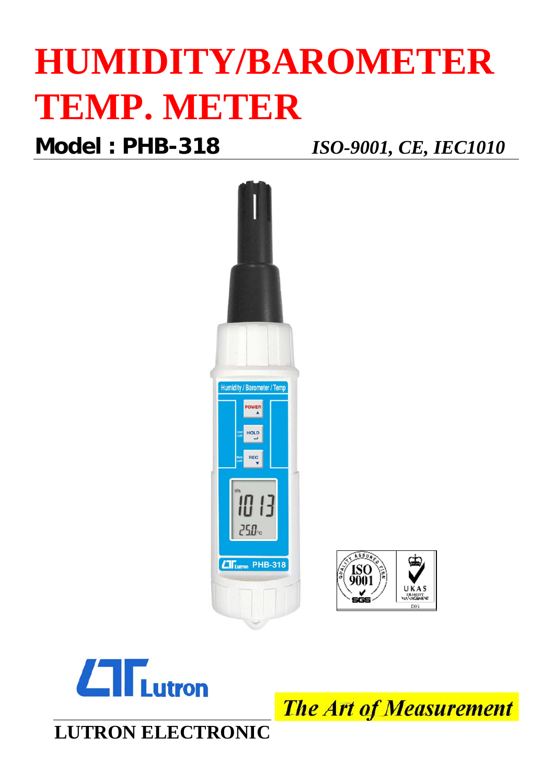# **HUMIDITY/BAROMETER TEMP. METER**

**Model : PHB-318** *ISO-9001, CE, IEC1010*





**The Art of Measurement**